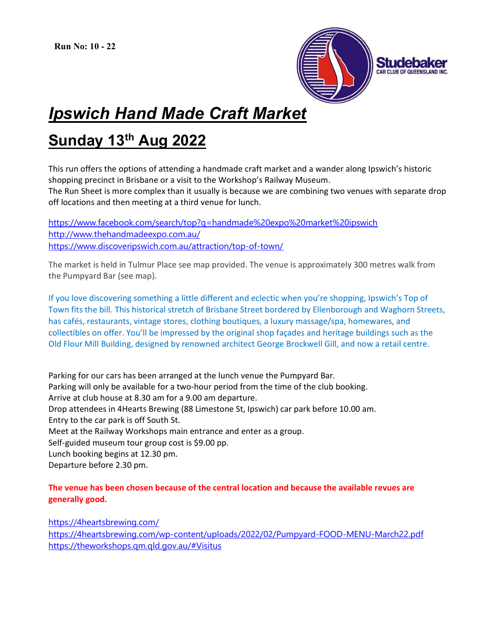

## Ipswich Hand Made Craft Market

## Sunday 13th Aug 2022

This run offers the options of attending a handmade craft market and a wander along Ipswich's historic shopping precinct in Brisbane or a visit to the Workshop's Railway Museum.

The Run Sheet is more complex than it usually is because we are combining two venues with separate drop off locations and then meeting at a third venue for lunch.

https://www.facebook.com/search/top?q=handmade%20expo%20market%20ipswich http://www.thehandmadeexpo.com.au/ https://www.discoveripswich.com.au/attraction/top-of-town/

The market is held in Tulmur Place see map provided. The venue is approximately 300 metres walk from the Pumpyard Bar (see map).

If you love discovering something a little different and eclectic when you're shopping, Ipswich's Top of Town fits the bill. This historical stretch of Brisbane Street bordered by Ellenborough and Waghorn Streets, has cafés, restaurants, vintage stores, clothing boutiques, a luxury massage/spa, homewares, and collectibles on offer. You'll be impressed by the original shop façades and heritage buildings such as the Old Flour Mill Building, designed by renowned architect George Brockwell Gill, and now a retail centre.

Parking for our cars has been arranged at the lunch venue the Pumpyard Bar. Parking will only be available for a two-hour period from the time of the club booking. Arrive at club house at 8.30 am for a 9.00 am departure. Drop attendees in 4Hearts Brewing (88 Limestone St, Ipswich) car park before 10.00 am. Entry to the car park is off South St. Meet at the Railway Workshops main entrance and enter as a group. Self-guided museum tour group cost is \$9.00 pp. Lunch booking begins at 12.30 pm. Departure before 2.30 pm.

## The venue has been chosen because of the central location and because the available revues are generally good.

https://4heartsbrewing.com/

https://4heartsbrewing.com/wp-content/uploads/2022/02/Pumpyard-FOOD-MENU-March22.pdf https://theworkshops.qm.qld.gov.au/#Visitus